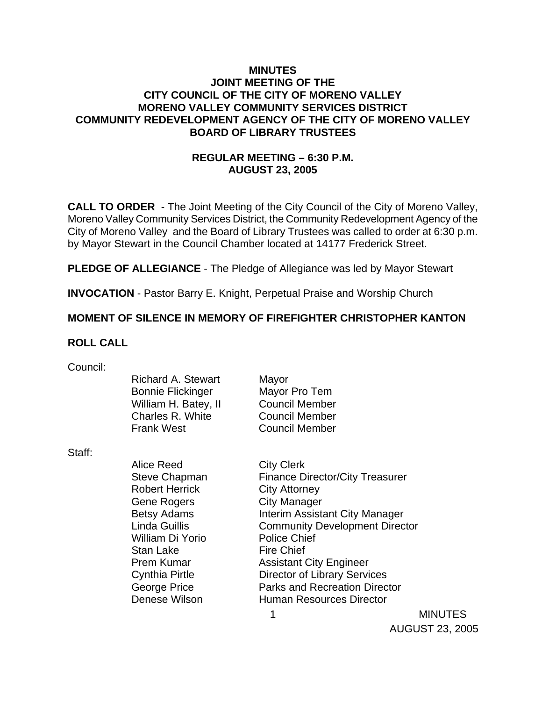### **MINUTES JOINT MEETING OF THE CITY COUNCIL OF THE CITY OF MORENO VALLEY MORENO VALLEY COMMUNITY SERVICES DISTRICT COMMUNITY REDEVELOPMENT AGENCY OF THE CITY OF MORENO VALLEY BOARD OF LIBRARY TRUSTEES**

## **REGULAR MEETING – 6:30 P.M. AUGUST 23, 2005**

**CALL TO ORDER** - The Joint Meeting of the City Council of the City of Moreno Valley, Moreno Valley Community Services District, the Community Redevelopment Agency of the City of Moreno Valley and the Board of Library Trustees was called to order at 6:30 p.m. by Mayor Stewart in the Council Chamber located at 14177 Frederick Street.

**PLEDGE OF ALLEGIANCE** - The Pledge of Allegiance was led by Mayor Stewart

**INVOCATION** - Pastor Barry E. Knight, Perpetual Praise and Worship Church

### **MOMENT OF SILENCE IN MEMORY OF FIREFIGHTER CHRISTOPHER KANTON**

### **ROLL CALL**

| Council: |  |
|----------|--|
|          |  |

Richard A. Stewart Mayor Bonnie Flickinger Mayor Pro Tem William H. Batey, II Council Member Charles R. White Council Member Frank West Council Member

Staff:

 Alice Reed City Clerk Steve Chapman Finance Director/City Treasurer Robert Herrick City Attorney Gene Rogers City Manager Betsy Adams **Interim Assistant City Manager** Linda Guillis Community Development Director William Di Yorio Police Chief Stan Lake Fire Chief Prem Kumar **Assistant City Engineer** Cynthia Pirtle Director of Library Services George Price **Parks and Recreation Director** Denese Wilson **Human Resources Director** 

1 MINUTES AUGUST 23, 2005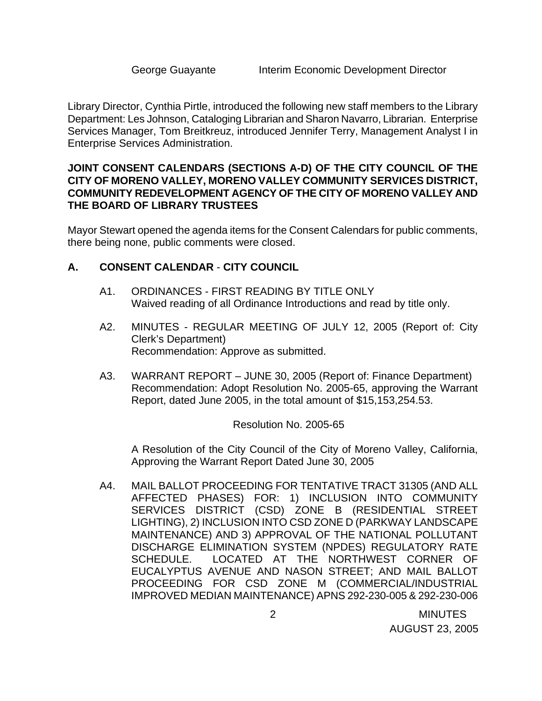Library Director, Cynthia Pirtle, introduced the following new staff members to the Library Department: Les Johnson, Cataloging Librarian and Sharon Navarro, Librarian. Enterprise Services Manager, Tom Breitkreuz, introduced Jennifer Terry, Management Analyst I in Enterprise Services Administration.

### **JOINT CONSENT CALENDARS (SECTIONS A-D) OF THE CITY COUNCIL OF THE CITY OF MORENO VALLEY, MORENO VALLEY COMMUNITY SERVICES DISTRICT, COMMUNITY REDEVELOPMENT AGENCY OF THE CITY OF MORENO VALLEY AND THE BOARD OF LIBRARY TRUSTEES**

Mayor Stewart opened the agenda items for the Consent Calendars for public comments, there being none, public comments were closed.

## **A. CONSENT CALENDAR** - **CITY COUNCIL**

- A1. ORDINANCES FIRST READING BY TITLE ONLY Waived reading of all Ordinance Introductions and read by title only.
- A2. MINUTES REGULAR MEETING OF JULY 12, 2005 (Report of: City Clerk's Department) Recommendation: Approve as submitted.
- A3. WARRANT REPORT JUNE 30, 2005 (Report of: Finance Department) Recommendation: Adopt Resolution No. 2005-65, approving the Warrant Report, dated June 2005, in the total amount of \$15,153,254.53.

### Resolution No. 2005-65

 A Resolution of the City Council of the City of Moreno Valley, California, Approving the Warrant Report Dated June 30, 2005

A4. MAIL BALLOT PROCEEDING FOR TENTATIVE TRACT 31305 (AND ALL AFFECTED PHASES) FOR: 1) INCLUSION INTO COMMUNITY SERVICES DISTRICT (CSD) ZONE B (RESIDENTIAL STREET LIGHTING), 2) INCLUSION INTO CSD ZONE D (PARKWAY LANDSCAPE MAINTENANCE) AND 3) APPROVAL OF THE NATIONAL POLLUTANT DISCHARGE ELIMINATION SYSTEM (NPDES) REGULATORY RATE SCHEDULE. LOCATED AT THE NORTHWEST CORNER OF EUCALYPTUS AVENUE AND NASON STREET; AND MAIL BALLOT PROCEEDING FOR CSD ZONE M (COMMERCIAL/INDUSTRIAL IMPROVED MEDIAN MAINTENANCE) APNS 292-230-005 & 292-230-006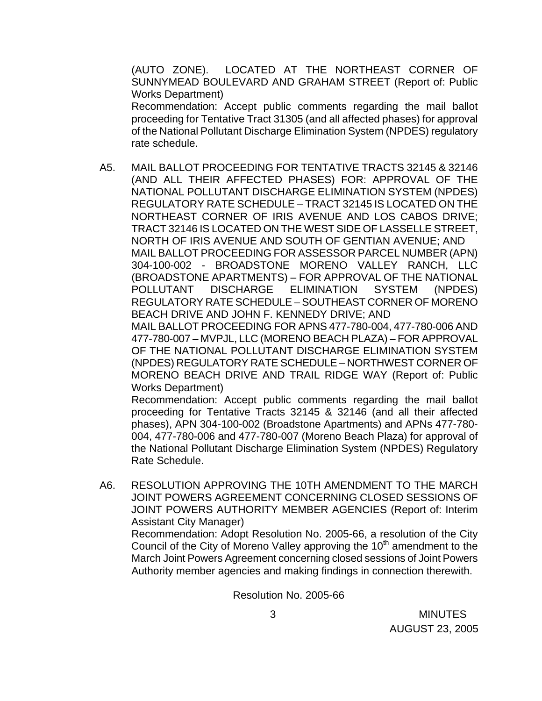(AUTO ZONE). LOCATED AT THE NORTHEAST CORNER OF SUNNYMEAD BOULEVARD AND GRAHAM STREET (Report of: Public Works Department)

 Recommendation: Accept public comments regarding the mail ballot proceeding for Tentative Tract 31305 (and all affected phases) for approval of the National Pollutant Discharge Elimination System (NPDES) regulatory rate schedule.

A5. MAIL BALLOT PROCEEDING FOR TENTATIVE TRACTS 32145 & 32146 (AND ALL THEIR AFFECTED PHASES) FOR: APPROVAL OF THE NATIONAL POLLUTANT DISCHARGE ELIMINATION SYSTEM (NPDES) REGULATORY RATE SCHEDULE – TRACT 32145 IS LOCATED ON THE NORTHEAST CORNER OF IRIS AVENUE AND LOS CABOS DRIVE; TRACT 32146 IS LOCATED ON THE WEST SIDE OF LASSELLE STREET, NORTH OF IRIS AVENUE AND SOUTH OF GENTIAN AVENUE; AND MAIL BALLOT PROCEEDING FOR ASSESSOR PARCEL NUMBER (APN) 304-100-002 - BROADSTONE MORENO VALLEY RANCH, LLC (BROADSTONE APARTMENTS) – FOR APPROVAL OF THE NATIONAL POLLUTANT DISCHARGE ELIMINATION SYSTEM (NPDES) REGULATORY RATE SCHEDULE – SOUTHEAST CORNER OF MORENO BEACH DRIVE AND JOHN F. KENNEDY DRIVE; AND MAIL BALLOT PROCEEDING FOR APNS 477-780-004, 477-780-006 AND 477-780-007 – MVPJL, LLC (MORENO BEACH PLAZA) – FOR APPROVAL OF THE NATIONAL POLLUTANT DISCHARGE ELIMINATION SYSTEM (NPDES) REGULATORY RATE SCHEDULE – NORTHWEST CORNER OF

MORENO BEACH DRIVE AND TRAIL RIDGE WAY (Report of: Public Works Department) Recommendation: Accept public comments regarding the mail ballot

proceeding for Tentative Tracts 32145 & 32146 (and all their affected phases), APN 304-100-002 (Broadstone Apartments) and APNs 477-780- 004, 477-780-006 and 477-780-007 (Moreno Beach Plaza) for approval of the National Pollutant Discharge Elimination System (NPDES) Regulatory Rate Schedule.

A6. RESOLUTION APPROVING THE 10TH AMENDMENT TO THE MARCH JOINT POWERS AGREEMENT CONCERNING CLOSED SESSIONS OF JOINT POWERS AUTHORITY MEMBER AGENCIES (Report of: Interim Assistant City Manager)

 Recommendation: Adopt Resolution No. 2005-66, a resolution of the City Council of the City of Moreno Valley approving the  $10<sup>th</sup>$  amendment to the March Joint Powers Agreement concerning closed sessions of Joint Powers Authority member agencies and making findings in connection therewith.

Resolution No. 2005-66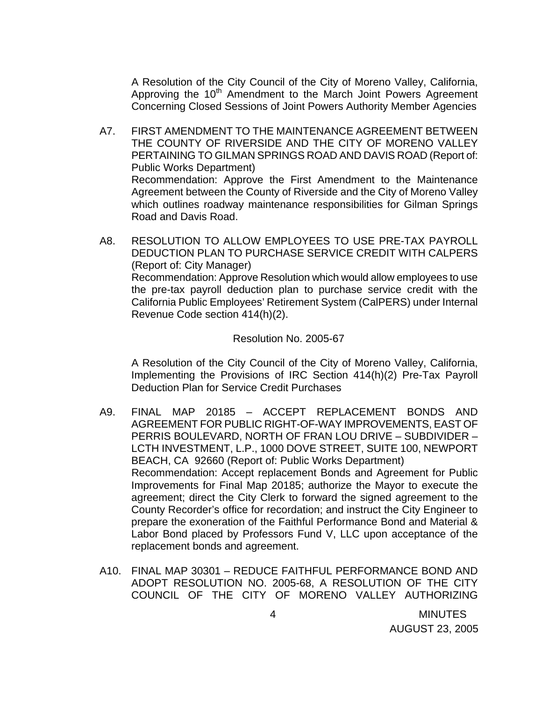A Resolution of the City Council of the City of Moreno Valley, California, Approving the 10<sup>th</sup> Amendment to the March Joint Powers Agreement Concerning Closed Sessions of Joint Powers Authority Member Agencies

- A7. FIRST AMENDMENT TO THE MAINTENANCE AGREEMENT BETWEEN THE COUNTY OF RIVERSIDE AND THE CITY OF MORENO VALLEY PERTAINING TO GILMAN SPRINGS ROAD AND DAVIS ROAD (Report of: Public Works Department) Recommendation: Approve the First Amendment to the Maintenance Agreement between the County of Riverside and the City of Moreno Valley which outlines roadway maintenance responsibilities for Gilman Springs Road and Davis Road.
- A8. RESOLUTION TO ALLOW EMPLOYEES TO USE PRE-TAX PAYROLL DEDUCTION PLAN TO PURCHASE SERVICE CREDIT WITH CALPERS (Report of: City Manager) Recommendation: Approve Resolution which would allow employees to use the pre-tax payroll deduction plan to purchase service credit with the California Public Employees' Retirement System (CalPERS) under Internal Revenue Code section 414(h)(2).

#### Resolution No. 2005-67

 A Resolution of the City Council of the City of Moreno Valley, California, Implementing the Provisions of IRC Section 414(h)(2) Pre-Tax Payroll Deduction Plan for Service Credit Purchases

- A9. FINAL MAP 20185 ACCEPT REPLACEMENT BONDS AND AGREEMENT FOR PUBLIC RIGHT-OF-WAY IMPROVEMENTS, EAST OF PERRIS BOULEVARD, NORTH OF FRAN LOU DRIVE – SUBDIVIDER – LCTH INVESTMENT, L.P., 1000 DOVE STREET, SUITE 100, NEWPORT BEACH, CA 92660 (Report of: Public Works Department) Recommendation: Accept replacement Bonds and Agreement for Public Improvements for Final Map 20185; authorize the Mayor to execute the agreement; direct the City Clerk to forward the signed agreement to the County Recorder's office for recordation; and instruct the City Engineer to prepare the exoneration of the Faithful Performance Bond and Material & Labor Bond placed by Professors Fund V, LLC upon acceptance of the replacement bonds and agreement.
- A10. FINAL MAP 30301 REDUCE FAITHFUL PERFORMANCE BOND AND ADOPT RESOLUTION NO. 2005-68, A RESOLUTION OF THE CITY COUNCIL OF THE CITY OF MORENO VALLEY AUTHORIZING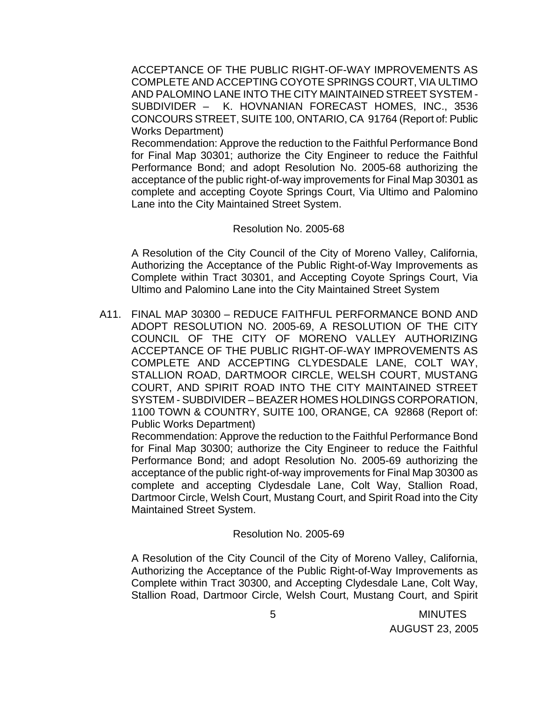ACCEPTANCE OF THE PUBLIC RIGHT-OF-WAY IMPROVEMENTS AS COMPLETE AND ACCEPTING COYOTE SPRINGS COURT, VIA ULTIMO AND PALOMINO LANE INTO THE CITY MAINTAINED STREET SYSTEM - SUBDIVIDER – K. HOVNANIAN FORECAST HOMES, INC., 3536 CONCOURS STREET, SUITE 100, ONTARIO, CA 91764 (Report of: Public Works Department)

 Recommendation: Approve the reduction to the Faithful Performance Bond for Final Map 30301; authorize the City Engineer to reduce the Faithful Performance Bond; and adopt Resolution No. 2005-68 authorizing the acceptance of the public right-of-way improvements for Final Map 30301 as complete and accepting Coyote Springs Court, Via Ultimo and Palomino Lane into the City Maintained Street System.

#### Resolution No. 2005-68

 A Resolution of the City Council of the City of Moreno Valley, California, Authorizing the Acceptance of the Public Right-of-Way Improvements as Complete within Tract 30301, and Accepting Coyote Springs Court, Via Ultimo and Palomino Lane into the City Maintained Street System

A11. FINAL MAP 30300 – REDUCE FAITHFUL PERFORMANCE BOND AND ADOPT RESOLUTION NO. 2005-69, A RESOLUTION OF THE CITY COUNCIL OF THE CITY OF MORENO VALLEY AUTHORIZING ACCEPTANCE OF THE PUBLIC RIGHT-OF-WAY IMPROVEMENTS AS COMPLETE AND ACCEPTING CLYDESDALE LANE, COLT WAY, STALLION ROAD, DARTMOOR CIRCLE, WELSH COURT, MUSTANG COURT, AND SPIRIT ROAD INTO THE CITY MAINTAINED STREET SYSTEM - SUBDIVIDER – BEAZER HOMES HOLDINGS CORPORATION, 1100 TOWN & COUNTRY, SUITE 100, ORANGE, CA 92868 (Report of: Public Works Department)

 Recommendation: Approve the reduction to the Faithful Performance Bond for Final Map 30300; authorize the City Engineer to reduce the Faithful Performance Bond; and adopt Resolution No. 2005-69 authorizing the acceptance of the public right-of-way improvements for Final Map 30300 as complete and accepting Clydesdale Lane, Colt Way, Stallion Road, Dartmoor Circle, Welsh Court, Mustang Court, and Spirit Road into the City Maintained Street System.

#### Resolution No. 2005-69

 A Resolution of the City Council of the City of Moreno Valley, California, Authorizing the Acceptance of the Public Right-of-Way Improvements as Complete within Tract 30300, and Accepting Clydesdale Lane, Colt Way, Stallion Road, Dartmoor Circle, Welsh Court, Mustang Court, and Spirit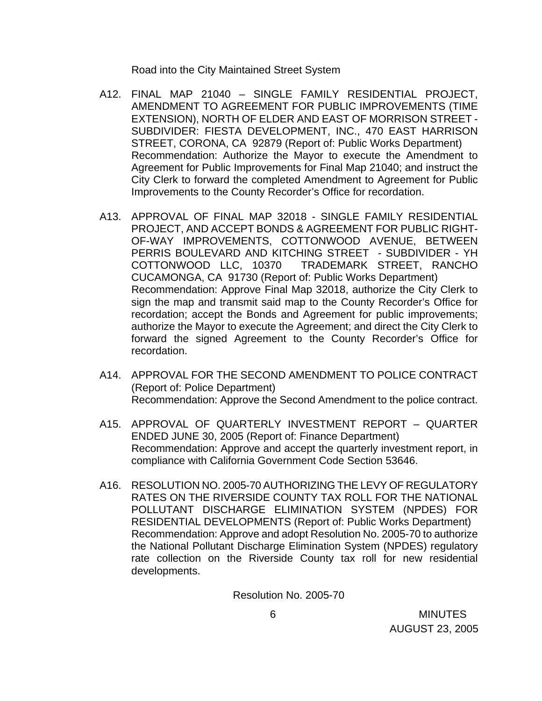Road into the City Maintained Street System

- A12. FINAL MAP 21040 SINGLE FAMILY RESIDENTIAL PROJECT, AMENDMENT TO AGREEMENT FOR PUBLIC IMPROVEMENTS (TIME EXTENSION), NORTH OF ELDER AND EAST OF MORRISON STREET - SUBDIVIDER: FIESTA DEVELOPMENT, INC., 470 EAST HARRISON STREET, CORONA, CA 92879 (Report of: Public Works Department) Recommendation: Authorize the Mayor to execute the Amendment to Agreement for Public Improvements for Final Map 21040; and instruct the City Clerk to forward the completed Amendment to Agreement for Public Improvements to the County Recorder's Office for recordation.
- A13. APPROVAL OF FINAL MAP 32018 SINGLE FAMILY RESIDENTIAL PROJECT, AND ACCEPT BONDS & AGREEMENT FOR PUBLIC RIGHT-OF-WAY IMPROVEMENTS, COTTONWOOD AVENUE, BETWEEN PERRIS BOULEVARD AND KITCHING STREET - SUBDIVIDER - YH COTTONWOOD LLC, 10370 TRADEMARK STREET, RANCHO CUCAMONGA, CA 91730 (Report of: Public Works Department) Recommendation: Approve Final Map 32018, authorize the City Clerk to sign the map and transmit said map to the County Recorder's Office for recordation; accept the Bonds and Agreement for public improvements; authorize the Mayor to execute the Agreement; and direct the City Clerk to forward the signed Agreement to the County Recorder's Office for recordation.
- A14. APPROVAL FOR THE SECOND AMENDMENT TO POLICE CONTRACT (Report of: Police Department) Recommendation: Approve the Second Amendment to the police contract.
- A15. APPROVAL OF QUARTERLY INVESTMENT REPORT QUARTER ENDED JUNE 30, 2005 (Report of: Finance Department) Recommendation: Approve and accept the quarterly investment report, in compliance with California Government Code Section 53646.
- A16. RESOLUTION NO. 2005-70 AUTHORIZING THE LEVY OF REGULATORY RATES ON THE RIVERSIDE COUNTY TAX ROLL FOR THE NATIONAL POLLUTANT DISCHARGE ELIMINATION SYSTEM (NPDES) FOR RESIDENTIAL DEVELOPMENTS (Report of: Public Works Department) Recommendation: Approve and adopt Resolution No. 2005-70 to authorize the National Pollutant Discharge Elimination System (NPDES) regulatory rate collection on the Riverside County tax roll for new residential developments.

Resolution No. 2005-70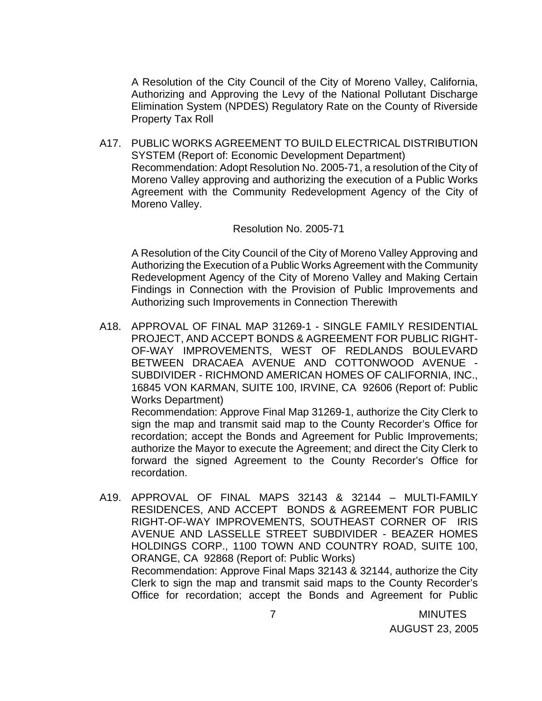A Resolution of the City Council of the City of Moreno Valley, California, Authorizing and Approving the Levy of the National Pollutant Discharge Elimination System (NPDES) Regulatory Rate on the County of Riverside Property Tax Roll

A17. PUBLIC WORKS AGREEMENT TO BUILD ELECTRICAL DISTRIBUTION SYSTEM (Report of: Economic Development Department) Recommendation: Adopt Resolution No. 2005-71, a resolution of the City of Moreno Valley approving and authorizing the execution of a Public Works Agreement with the Community Redevelopment Agency of the City of Moreno Valley.

#### Resolution No. 2005-71

 A Resolution of the City Council of the City of Moreno Valley Approving and Authorizing the Execution of a Public Works Agreement with the Community Redevelopment Agency of the City of Moreno Valley and Making Certain Findings in Connection with the Provision of Public Improvements and Authorizing such Improvements in Connection Therewith

A18. APPROVAL OF FINAL MAP 31269-1 - SINGLE FAMILY RESIDENTIAL PROJECT, AND ACCEPT BONDS & AGREEMENT FOR PUBLIC RIGHT-OF-WAY IMPROVEMENTS, WEST OF REDLANDS BOULEVARD BETWEEN DRACAEA AVENUE AND COTTONWOOD AVENUE - SUBDIVIDER - RICHMOND AMERICAN HOMES OF CALIFORNIA, INC., 16845 VON KARMAN, SUITE 100, IRVINE, CA 92606 (Report of: Public Works Department)

 Recommendation: Approve Final Map 31269-1, authorize the City Clerk to sign the map and transmit said map to the County Recorder's Office for recordation; accept the Bonds and Agreement for Public Improvements; authorize the Mayor to execute the Agreement; and direct the City Clerk to forward the signed Agreement to the County Recorder's Office for recordation.

A19. APPROVAL OF FINAL MAPS 32143 & 32144 – MULTI-FAMILY RESIDENCES, AND ACCEPT BONDS & AGREEMENT FOR PUBLIC RIGHT-OF-WAY IMPROVEMENTS, SOUTHEAST CORNER OF IRIS AVENUE AND LASSELLE STREET SUBDIVIDER - BEAZER HOMES HOLDINGS CORP., 1100 TOWN AND COUNTRY ROAD, SUITE 100, ORANGE, CA 92868 (Report of: Public Works) Recommendation: Approve Final Maps 32143 & 32144, authorize the City Clerk to sign the map and transmit said maps to the County Recorder's Office for recordation; accept the Bonds and Agreement for Public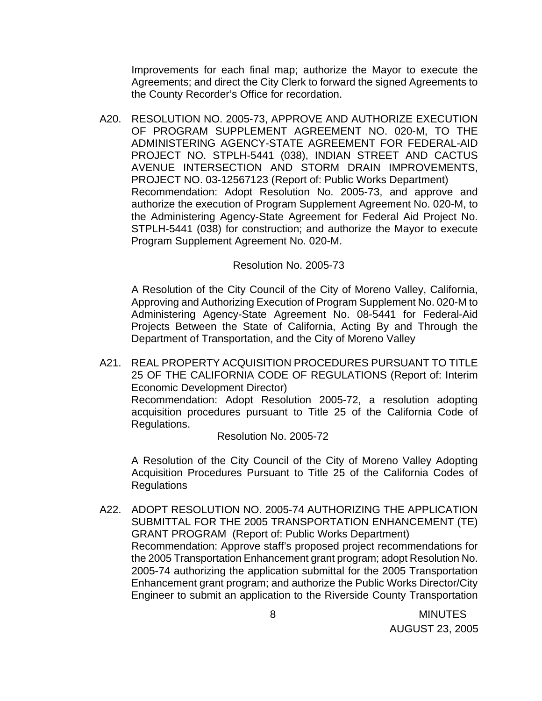Improvements for each final map; authorize the Mayor to execute the Agreements; and direct the City Clerk to forward the signed Agreements to the County Recorder's Office for recordation.

A20. RESOLUTION NO. 2005-73, APPROVE AND AUTHORIZE EXECUTION OF PROGRAM SUPPLEMENT AGREEMENT NO. 020-M, TO THE ADMINISTERING AGENCY-STATE AGREEMENT FOR FEDERAL-AID PROJECT NO. STPLH-5441 (038), INDIAN STREET AND CACTUS AVENUE INTERSECTION AND STORM DRAIN IMPROVEMENTS, PROJECT NO. 03-12567123 (Report of: Public Works Department) Recommendation: Adopt Resolution No. 2005-73, and approve and authorize the execution of Program Supplement Agreement No. 020-M, to the Administering Agency-State Agreement for Federal Aid Project No. STPLH-5441 (038) for construction; and authorize the Mayor to execute Program Supplement Agreement No. 020-M.

### Resolution No. 2005-73

 A Resolution of the City Council of the City of Moreno Valley, California, Approving and Authorizing Execution of Program Supplement No. 020-M to Administering Agency-State Agreement No. 08-5441 for Federal-Aid Projects Between the State of California, Acting By and Through the Department of Transportation, and the City of Moreno Valley

A21. REAL PROPERTY ACQUISITION PROCEDURES PURSUANT TO TITLE 25 OF THE CALIFORNIA CODE OF REGULATIONS (Report of: Interim Economic Development Director) Recommendation: Adopt Resolution 2005-72, a resolution adopting acquisition procedures pursuant to Title 25 of the California Code of Regulations.

Resolution No. 2005-72

A Resolution of the City Council of the City of Moreno Valley Adopting Acquisition Procedures Pursuant to Title 25 of the California Codes of Regulations

A22. ADOPT RESOLUTION NO. 2005-74 AUTHORIZING THE APPLICATION SUBMITTAL FOR THE 2005 TRANSPORTATION ENHANCEMENT (TE) GRANT PROGRAM (Report of: Public Works Department) Recommendation: Approve staff's proposed project recommendations for the 2005 Transportation Enhancement grant program; adopt Resolution No. 2005-74 authorizing the application submittal for the 2005 Transportation Enhancement grant program; and authorize the Public Works Director/City Engineer to submit an application to the Riverside County Transportation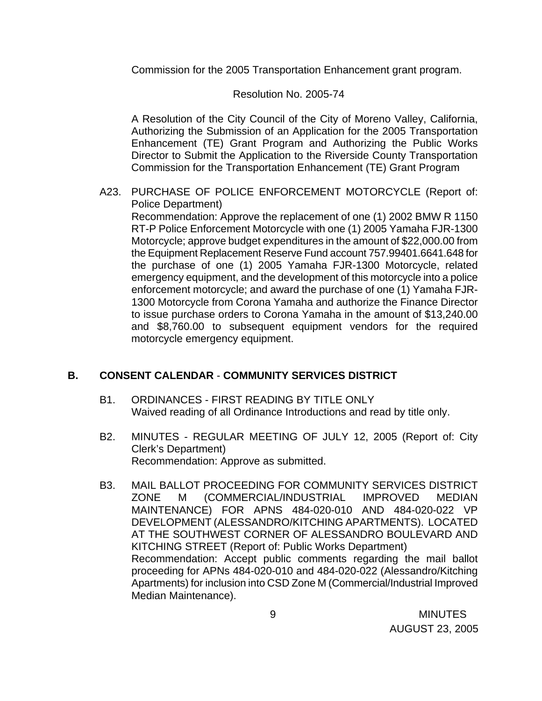Commission for the 2005 Transportation Enhancement grant program.

## Resolution No. 2005-74

 A Resolution of the City Council of the City of Moreno Valley, California, Authorizing the Submission of an Application for the 2005 Transportation Enhancement (TE) Grant Program and Authorizing the Public Works Director to Submit the Application to the Riverside County Transportation Commission for the Transportation Enhancement (TE) Grant Program

A23. PURCHASE OF POLICE ENFORCEMENT MOTORCYCLE (Report of: Police Department)

 Recommendation: Approve the replacement of one (1) 2002 BMW R 1150 RT-P Police Enforcement Motorcycle with one (1) 2005 Yamaha FJR-1300 Motorcycle; approve budget expenditures in the amount of \$22,000.00 from the Equipment Replacement Reserve Fund account 757.99401.6641.648 for the purchase of one (1) 2005 Yamaha FJR-1300 Motorcycle, related emergency equipment, and the development of this motorcycle into a police enforcement motorcycle; and award the purchase of one (1) Yamaha FJR-1300 Motorcycle from Corona Yamaha and authorize the Finance Director to issue purchase orders to Corona Yamaha in the amount of \$13,240.00 and \$8,760.00 to subsequent equipment vendors for the required motorcycle emergency equipment.

## **B. CONSENT CALENDAR** - **COMMUNITY SERVICES DISTRICT**

- B1. ORDINANCES FIRST READING BY TITLE ONLY Waived reading of all Ordinance Introductions and read by title only.
- B2. MINUTES REGULAR MEETING OF JULY 12, 2005 (Report of: City Clerk's Department) Recommendation: Approve as submitted.
- B3. MAIL BALLOT PROCEEDING FOR COMMUNITY SERVICES DISTRICT ZONE M (COMMERCIAL/INDUSTRIAL IMPROVED MEDIAN MAINTENANCE) FOR APNS 484-020-010 AND 484-020-022 VP DEVELOPMENT (ALESSANDRO/KITCHING APARTMENTS). LOCATED AT THE SOUTHWEST CORNER OF ALESSANDRO BOULEVARD AND KITCHING STREET (Report of: Public Works Department) Recommendation: Accept public comments regarding the mail ballot proceeding for APNs 484-020-010 and 484-020-022 (Alessandro/Kitching Apartments) for inclusion into CSD Zone M (Commercial/Industrial Improved Median Maintenance).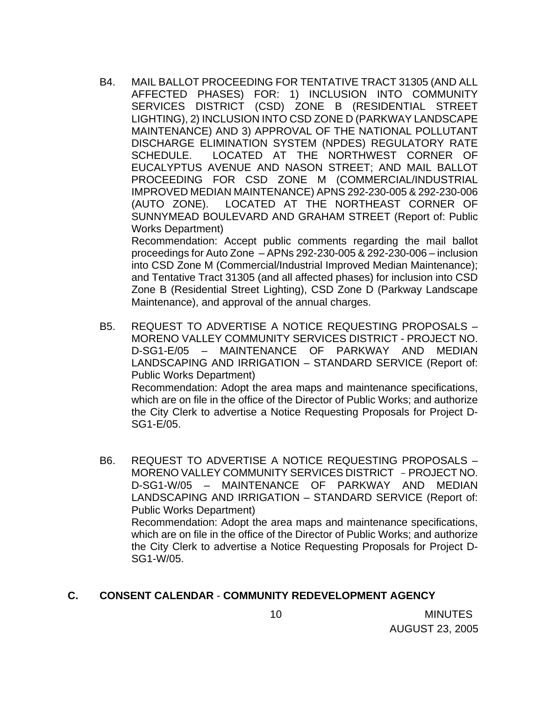B4. MAIL BALLOT PROCEEDING FOR TENTATIVE TRACT 31305 (AND ALL AFFECTED PHASES) FOR: 1) INCLUSION INTO COMMUNITY SERVICES DISTRICT (CSD) ZONE B (RESIDENTIAL STREET LIGHTING), 2) INCLUSION INTO CSD ZONE D (PARKWAY LANDSCAPE MAINTENANCE) AND 3) APPROVAL OF THE NATIONAL POLLUTANT DISCHARGE ELIMINATION SYSTEM (NPDES) REGULATORY RATE SCHEDULE. LOCATED AT THE NORTHWEST CORNER OF EUCALYPTUS AVENUE AND NASON STREET; AND MAIL BALLOT PROCEEDING FOR CSD ZONE M (COMMERCIAL/INDUSTRIAL IMPROVED MEDIAN MAINTENANCE) APNS 292-230-005 & 292-230-006 (AUTO ZONE). LOCATED AT THE NORTHEAST CORNER OF SUNNYMEAD BOULEVARD AND GRAHAM STREET (Report of: Public Works Department)

Recommendation: Accept public comments regarding the mail ballot proceedings for Auto Zone – APNs 292-230-005 & 292-230-006 – inclusion into CSD Zone M (Commercial/Industrial Improved Median Maintenance); and Tentative Tract 31305 (and all affected phases) for inclusion into CSD Zone B (Residential Street Lighting), CSD Zone D (Parkway Landscape Maintenance), and approval of the annual charges.

B5. REQUEST TO ADVERTISE A NOTICE REQUESTING PROPOSALS – MORENO VALLEY COMMUNITY SERVICES DISTRICT - PROJECT NO. D-SG1-E/05 – MAINTENANCE OF PARKWAY AND MEDIAN LANDSCAPING AND IRRIGATION – STANDARD SERVICE (Report of: Public Works Department) Recommendation: Adopt the area maps and maintenance specifications,

which are on file in the office of the Director of Public Works; and authorize the City Clerk to advertise a Notice Requesting Proposals for Project D-SG1-E/05.

B6. REQUEST TO ADVERTISE A NOTICE REQUESTING PROPOSALS – MORENO VALLEY COMMUNITY SERVICES DISTRICT - PROJECT NO. D-SG1-W/05 – MAINTENANCE OF PARKWAY AND MEDIAN LANDSCAPING AND IRRIGATION – STANDARD SERVICE (Report of: Public Works Department) Recommendation: Adopt the area maps and maintenance specifications, which are on file in the office of the Director of Public Works; and authorize

the City Clerk to advertise a Notice Requesting Proposals for Project D-SG1-W/05.

### **C. CONSENT CALENDAR** - **COMMUNITY REDEVELOPMENT AGENCY**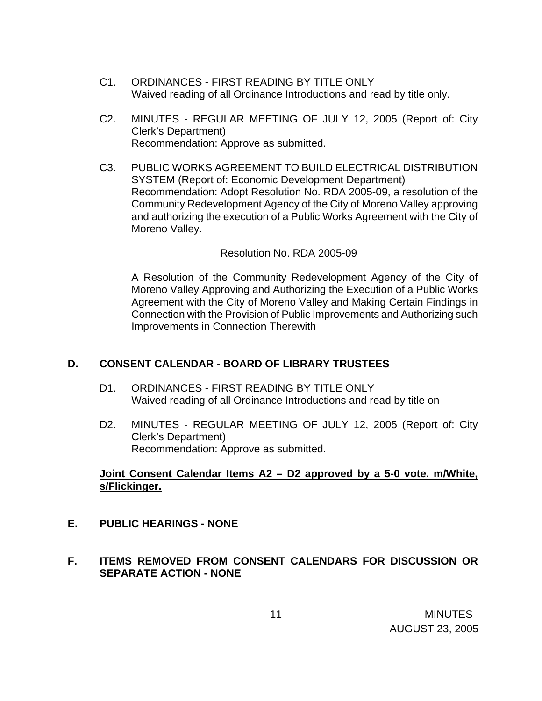- C1. ORDINANCES FIRST READING BY TITLE ONLY Waived reading of all Ordinance Introductions and read by title only.
- C2. MINUTES REGULAR MEETING OF JULY 12, 2005 (Report of: City Clerk's Department) Recommendation: Approve as submitted.
- C3. PUBLIC WORKS AGREEMENT TO BUILD ELECTRICAL DISTRIBUTION SYSTEM (Report of: Economic Development Department) Recommendation: Adopt Resolution No. RDA 2005-09, a resolution of the Community Redevelopment Agency of the City of Moreno Valley approving and authorizing the execution of a Public Works Agreement with the City of Moreno Valley.

### Resolution No. RDA 2005-09

 A Resolution of the Community Redevelopment Agency of the City of Moreno Valley Approving and Authorizing the Execution of a Public Works Agreement with the City of Moreno Valley and Making Certain Findings in Connection with the Provision of Public Improvements and Authorizing such Improvements in Connection Therewith

## **D. CONSENT CALENDAR** - **BOARD OF LIBRARY TRUSTEES**

- D1. ORDINANCES FIRST READING BY TITLE ONLY Waived reading of all Ordinance Introductions and read by title on
- D2. MINUTES REGULAR MEETING OF JULY 12, 2005 (Report of: City Clerk's Department) Recommendation: Approve as submitted.

## **Joint Consent Calendar Items A2 – D2 approved by a 5-0 vote. m/White, s/Flickinger.**

- **E. PUBLIC HEARINGS NONE**
- **F. ITEMS REMOVED FROM CONSENT CALENDARS FOR DISCUSSION OR SEPARATE ACTION - NONE**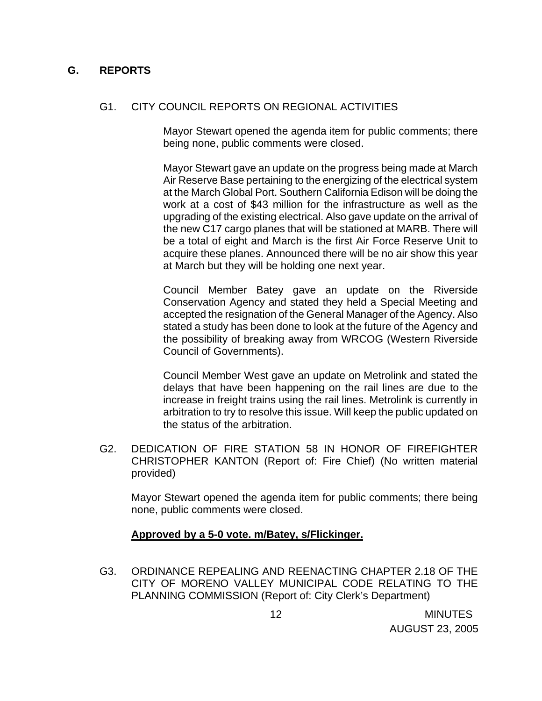### **G. REPORTS**

### G1. CITY COUNCIL REPORTS ON REGIONAL ACTIVITIES

 Mayor Stewart opened the agenda item for public comments; there being none, public comments were closed.

 Mayor Stewart gave an update on the progress being made at March Air Reserve Base pertaining to the energizing of the electrical system at the March Global Port. Southern California Edison will be doing the work at a cost of \$43 million for the infrastructure as well as the upgrading of the existing electrical. Also gave update on the arrival of the new C17 cargo planes that will be stationed at MARB. There will be a total of eight and March is the first Air Force Reserve Unit to acquire these planes. Announced there will be no air show this year at March but they will be holding one next year.

 Council Member Batey gave an update on the Riverside Conservation Agency and stated they held a Special Meeting and accepted the resignation of the General Manager of the Agency. Also stated a study has been done to look at the future of the Agency and the possibility of breaking away from WRCOG (Western Riverside Council of Governments).

 Council Member West gave an update on Metrolink and stated the delays that have been happening on the rail lines are due to the increase in freight trains using the rail lines. Metrolink is currently in arbitration to try to resolve this issue. Will keep the public updated on the status of the arbitration.

G2. DEDICATION OF FIRE STATION 58 IN HONOR OF FIREFIGHTER CHRISTOPHER KANTON (Report of: Fire Chief) (No written material provided)

Mayor Stewart opened the agenda item for public comments; there being none, public comments were closed.

### **Approved by a 5-0 vote. m/Batey, s/Flickinger.**

G3. ORDINANCE REPEALING AND REENACTING CHAPTER 2.18 OF THE CITY OF MORENO VALLEY MUNICIPAL CODE RELATING TO THE PLANNING COMMISSION (Report of: City Clerk's Department)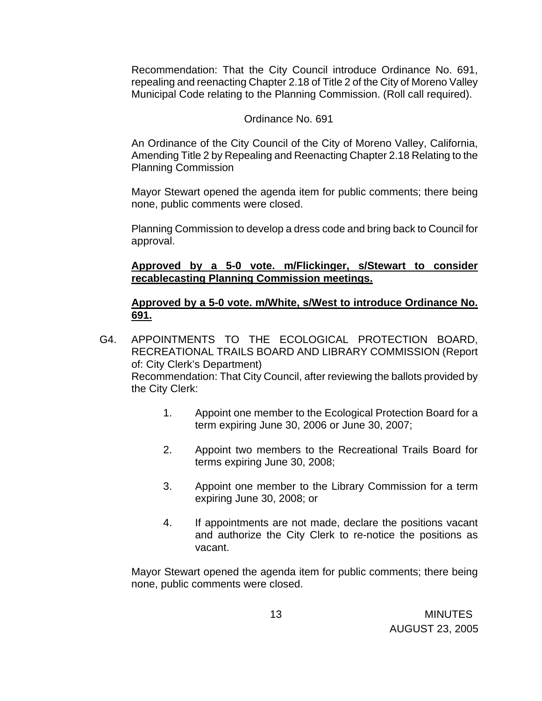Recommendation: That the City Council introduce Ordinance No. 691, repealing and reenacting Chapter 2.18 of Title 2 of the City of Moreno Valley Municipal Code relating to the Planning Commission. (Roll call required).

### Ordinance No. 691

 An Ordinance of the City Council of the City of Moreno Valley, California, Amending Title 2 by Repealing and Reenacting Chapter 2.18 Relating to the Planning Commission

 Mayor Stewart opened the agenda item for public comments; there being none, public comments were closed.

 Planning Commission to develop a dress code and bring back to Council for approval.

## **Approved by a 5-0 vote. m/Flickinger, s/Stewart to consider recablecasting Planning Commission meetings.**

## **Approved by a 5-0 vote. m/White, s/West to introduce Ordinance No. 691.**

- G4. APPOINTMENTS TO THE ECOLOGICAL PROTECTION BOARD, RECREATIONAL TRAILS BOARD AND LIBRARY COMMISSION (Report of: City Clerk's Department) Recommendation: That City Council, after reviewing the ballots provided by the City Clerk:
	- 1. Appoint one member to the Ecological Protection Board for a term expiring June 30, 2006 or June 30, 2007;
	- 2. Appoint two members to the Recreational Trails Board for terms expiring June 30, 2008;
	- 3. Appoint one member to the Library Commission for a term expiring June 30, 2008; or
	- 4. If appointments are not made, declare the positions vacant and authorize the City Clerk to re-notice the positions as vacant.

 Mayor Stewart opened the agenda item for public comments; there being none, public comments were closed.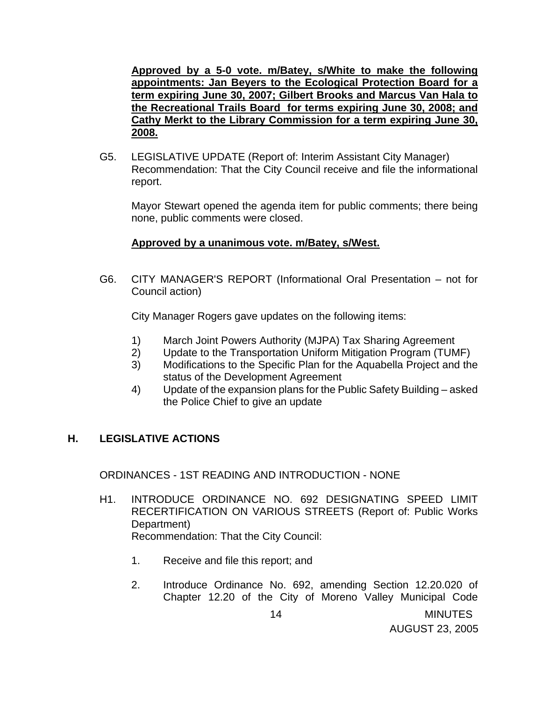**Approved by a 5-0 vote. m/Batey, s/White to make the following appointments: Jan Beyers to the Ecological Protection Board for a term expiring June 30, 2007; Gilbert Brooks and Marcus Van Hala to the Recreational Trails Board for terms expiring June 30, 2008; and Cathy Merkt to the Library Commission for a term expiring June 30, 2008.**

G5. LEGISLATIVE UPDATE (Report of: Interim Assistant City Manager) Recommendation: That the City Council receive and file the informational report.

Mayor Stewart opened the agenda item for public comments; there being none, public comments were closed.

## **Approved by a unanimous vote. m/Batey, s/West.**

G6. CITY MANAGER'S REPORT (Informational Oral Presentation – not for Council action)

City Manager Rogers gave updates on the following items:

- 1) March Joint Powers Authority (MJPA) Tax Sharing Agreement
- 2) Update to the Transportation Uniform Mitigation Program (TUMF)
- 3) Modifications to the Specific Plan for the Aquabella Project and the status of the Development Agreement
- 4) Update of the expansion plans for the Public Safety Building asked the Police Chief to give an update

## **H. LEGISLATIVE ACTIONS**

ORDINANCES - 1ST READING AND INTRODUCTION - NONE

- H1. INTRODUCE ORDINANCE NO. 692 DESIGNATING SPEED LIMIT RECERTIFICATION ON VARIOUS STREETS (Report of: Public Works Department) Recommendation: That the City Council:
	- 1. Receive and file this report; and
	- 2. Introduce Ordinance No. 692, amending Section 12.20.020 of Chapter 12.20 of the City of Moreno Valley Municipal Code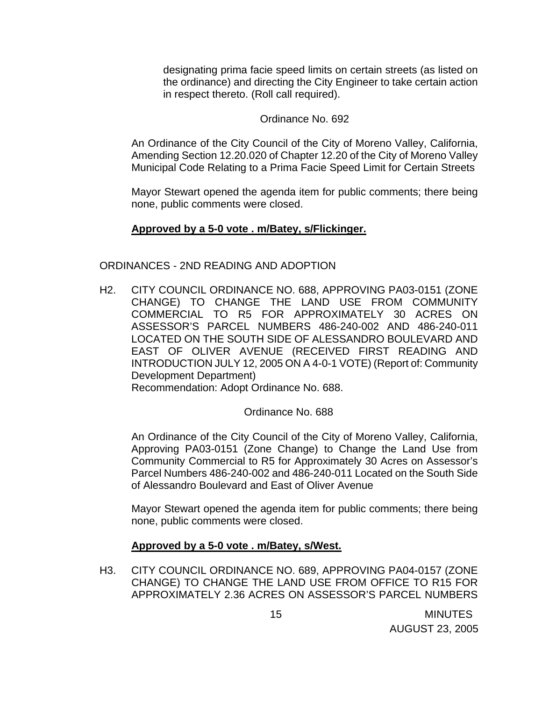designating prima facie speed limits on certain streets (as listed on the ordinance) and directing the City Engineer to take certain action in respect thereto. (Roll call required).

### Ordinance No. 692

An Ordinance of the City Council of the City of Moreno Valley, California, Amending Section 12.20.020 of Chapter 12.20 of the City of Moreno Valley Municipal Code Relating to a Prima Facie Speed Limit for Certain Streets

 Mayor Stewart opened the agenda item for public comments; there being none, public comments were closed.

### **Approved by a 5-0 vote . m/Batey, s/Flickinger.**

### ORDINANCES - 2ND READING AND ADOPTION

H2. CITY COUNCIL ORDINANCE NO. 688, APPROVING PA03-0151 (ZONE CHANGE) TO CHANGE THE LAND USE FROM COMMUNITY COMMERCIAL TO R5 FOR APPROXIMATELY 30 ACRES ON ASSESSOR'S PARCEL NUMBERS 486-240-002 AND 486-240-011 LOCATED ON THE SOUTH SIDE OF ALESSANDRO BOULEVARD AND EAST OF OLIVER AVENUE (RECEIVED FIRST READING AND INTRODUCTION JULY 12, 2005 ON A 4-0-1 VOTE) (Report of: Community Development Department)

Recommendation: Adopt Ordinance No. 688.

### Ordinance No. 688

 An Ordinance of the City Council of the City of Moreno Valley, California, Approving PA03-0151 (Zone Change) to Change the Land Use from Community Commercial to R5 for Approximately 30 Acres on Assessor's Parcel Numbers 486-240-002 and 486-240-011 Located on the South Side of Alessandro Boulevard and East of Oliver Avenue

Mayor Stewart opened the agenda item for public comments; there being none, public comments were closed.

### **Approved by a 5-0 vote . m/Batey, s/West.**

H3. CITY COUNCIL ORDINANCE NO. 689, APPROVING PA04-0157 (ZONE CHANGE) TO CHANGE THE LAND USE FROM OFFICE TO R15 FOR APPROXIMATELY 2.36 ACRES ON ASSESSOR'S PARCEL NUMBERS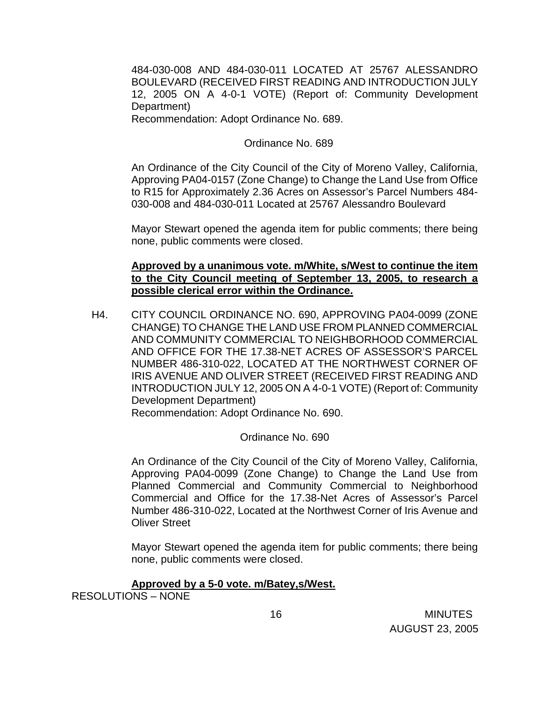484-030-008 AND 484-030-011 LOCATED AT 25767 ALESSANDRO BOULEVARD (RECEIVED FIRST READING AND INTRODUCTION JULY 12, 2005 ON A 4-0-1 VOTE) (Report of: Community Development Department)

Recommendation: Adopt Ordinance No. 689.

Ordinance No. 689

 An Ordinance of the City Council of the City of Moreno Valley, California, Approving PA04-0157 (Zone Change) to Change the Land Use from Office to R15 for Approximately 2.36 Acres on Assessor's Parcel Numbers 484- 030-008 and 484-030-011 Located at 25767 Alessandro Boulevard

 Mayor Stewart opened the agenda item for public comments; there being none, public comments were closed.

**Approved by a unanimous vote. m/White, s/West to continue the item to the City Council meeting of September 13, 2005, to research a possible clerical error within the Ordinance.** 

H4. CITY COUNCIL ORDINANCE NO. 690, APPROVING PA04-0099 (ZONE CHANGE) TO CHANGE THE LAND USE FROM PLANNED COMMERCIAL AND COMMUNITY COMMERCIAL TO NEIGHBORHOOD COMMERCIAL AND OFFICE FOR THE 17.38-NET ACRES OF ASSESSOR'S PARCEL NUMBER 486-310-022, LOCATED AT THE NORTHWEST CORNER OF IRIS AVENUE AND OLIVER STREET (RECEIVED FIRST READING AND INTRODUCTION JULY 12, 2005 ON A 4-0-1 VOTE) (Report of: Community Development Department)

Recommendation: Adopt Ordinance No. 690.

Ordinance No. 690

 An Ordinance of the City Council of the City of Moreno Valley, California, Approving PA04-0099 (Zone Change) to Change the Land Use from Planned Commercial and Community Commercial to Neighborhood Commercial and Office for the 17.38-Net Acres of Assessor's Parcel Number 486-310-022, Located at the Northwest Corner of Iris Avenue and Oliver Street

Mayor Stewart opened the agenda item for public comments; there being none, public comments were closed.

### **Approved by a 5-0 vote. m/Batey,s/West.**

RESOLUTIONS – NONE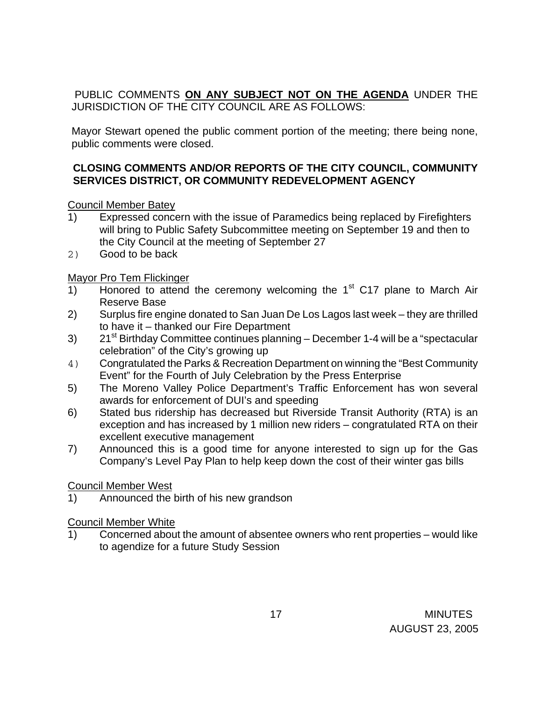PUBLIC COMMENTS **ON ANY SUBJECT NOT ON THE AGENDA** UNDER THE JURISDICTION OF THE CITY COUNCIL ARE AS FOLLOWS:

Mayor Stewart opened the public comment portion of the meeting; there being none, public comments were closed.

## **CLOSING COMMENTS AND/OR REPORTS OF THE CITY COUNCIL, COMMUNITY SERVICES DISTRICT, OR COMMUNITY REDEVELOPMENT AGENCY**

Council Member Batey

- 1) Expressed concern with the issue of Paramedics being replaced by Firefighters will bring to Public Safety Subcommittee meeting on September 19 and then to the City Council at the meeting of September 27
- 2) Good to be back

Mayor Pro Tem Flickinger

- 1) Honored to attend the ceremony welcoming the  $1<sup>st</sup>$  C17 plane to March Air Reserve Base
- 2) Surplus fire engine donated to San Juan De Los Lagos last week they are thrilled to have it – thanked our Fire Department
- 3) 21<sup>st</sup> Birthday Committee continues planning December 1-4 will be a "spectacular celebration" of the City's growing up
- 4) Congratulated the Parks & Recreation Department on winning the "Best Community Event" for the Fourth of July Celebration by the Press Enterprise
- 5) The Moreno Valley Police Department's Traffic Enforcement has won several awards for enforcement of DUI's and speeding
- 6) Stated bus ridership has decreased but Riverside Transit Authority (RTA) is an exception and has increased by 1 million new riders – congratulated RTA on their excellent executive management
- 7) Announced this is a good time for anyone interested to sign up for the Gas Company's Level Pay Plan to help keep down the cost of their winter gas bills

## Council Member West

1) Announced the birth of his new grandson

## Council Member White

1) Concerned about the amount of absentee owners who rent properties – would like to agendize for a future Study Session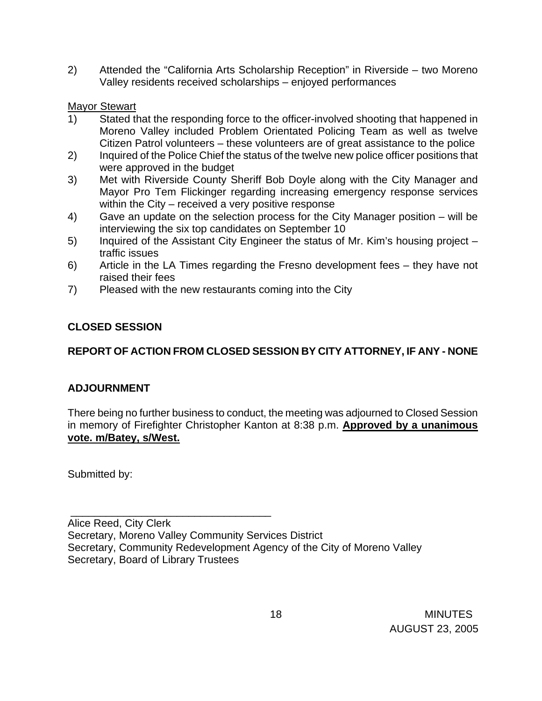2) Attended the "California Arts Scholarship Reception" in Riverside – two Moreno Valley residents received scholarships – enjoyed performances

## **Mayor Stewart**

- 1) Stated that the responding force to the officer-involved shooting that happened in Moreno Valley included Problem Orientated Policing Team as well as twelve Citizen Patrol volunteers – these volunteers are of great assistance to the police
- 2) Inquired of the Police Chief the status of the twelve new police officer positions that were approved in the budget
- 3) Met with Riverside County Sheriff Bob Doyle along with the City Manager and Mayor Pro Tem Flickinger regarding increasing emergency response services within the City – received a very positive response
- 4) Gave an update on the selection process for the City Manager position will be interviewing the six top candidates on September 10
- 5) Inquired of the Assistant City Engineer the status of Mr. Kim's housing project traffic issues
- 6) Article in the LA Times regarding the Fresno development fees they have not raised their fees
- 7) Pleased with the new restaurants coming into the City

## **CLOSED SESSION**

# **REPORT OF ACTION FROM CLOSED SESSION BY CITY ATTORNEY, IF ANY - NONE**

## **ADJOURNMENT**

There being no further business to conduct, the meeting was adjourned to Closed Session in memory of Firefighter Christopher Kanton at 8:38 p.m. **Approved by a unanimous vote. m/Batey, s/West.** 

Submitted by:

\_\_\_\_\_\_\_\_\_\_\_\_\_\_\_\_\_\_\_\_\_\_\_\_\_\_\_\_\_\_\_\_\_\_

Alice Reed, City Clerk Secretary, Moreno Valley Community Services District Secretary, Community Redevelopment Agency of the City of Moreno Valley Secretary, Board of Library Trustees